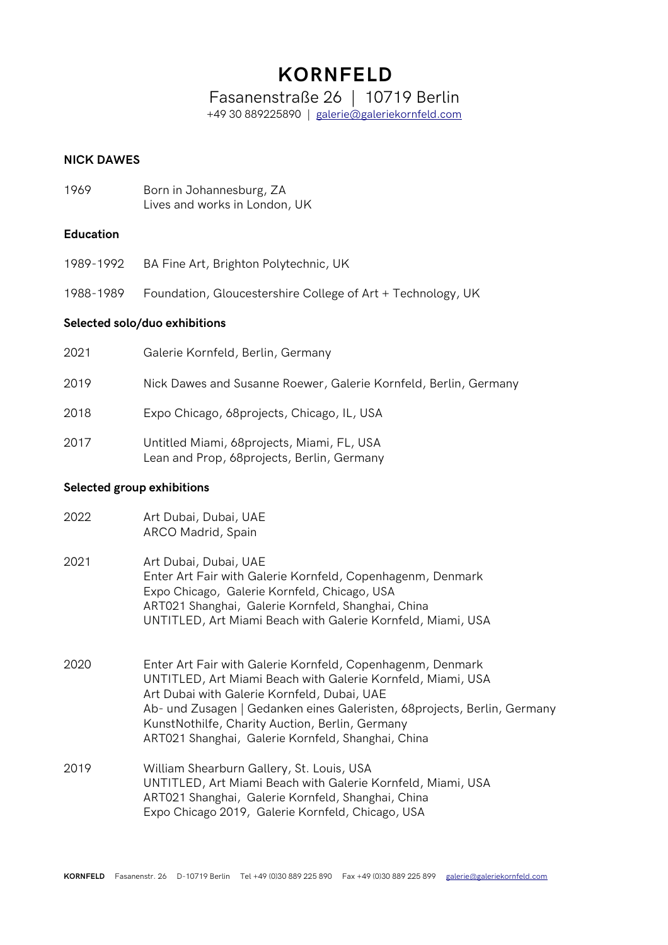# **KORNFELD**

Fasanenstraße 26 | 10719 Berlin

+49 30 889225890 | [galerie@galeriekornfeld.com](mailto:galerie@galeriekornfeld.com)

# **NICK DAWES**

1969 Born in Johannesburg, ZA Lives and works in London, UK

#### **Education**

- 1989-1992 BA Fine Art, Brighton Polytechnic, UK
- 1988-1989 Foundation, Gloucestershire College of Art + Technology, UK

### **Selected solo/duo exhibitions**

| 2021 | Galerie Kornfeld, Berlin, Germany                                                        |
|------|------------------------------------------------------------------------------------------|
| 2019 | Nick Dawes and Susanne Roewer, Galerie Kornfeld, Berlin, Germany                         |
| 2018 | Expo Chicago, 68 projects, Chicago, IL, USA                                              |
| 2017 | Untitled Miami, 68projects, Miami, FL, USA<br>Lean and Prop, 68projects, Berlin, Germany |

#### **Selected group exhibitions**

| 2022 | Art Dubai, Dubai, UAE |
|------|-----------------------|
|      | ARCO Madrid, Spain    |

- 2021 Art Dubai, Dubai, UAE Enter Art Fair with Galerie Kornfeld, Copenhagenm, Denmark Expo Chicago, Galerie Kornfeld, Chicago, USA ART021 Shanghai, Galerie Kornfeld, Shanghai, China UNTITLED, Art Miami Beach with Galerie Kornfeld, Miami, USA
- 2020 Enter Art Fair with Galerie Kornfeld, Copenhagenm, Denmark UNTITLED, Art Miami Beach with Galerie Kornfeld, Miami, USA Art Dubai with Galerie Kornfeld, Dubai, UAE Ab- und Zusagen | Gedanken eines Galeristen, 68projects, Berlin, Germany KunstNothilfe, Charity Auction, Berlin, Germany ART021 Shanghai, Galerie Kornfeld, Shanghai, China
- 2019 William Shearburn Gallery, St. Louis, USA UNTITLED, Art Miami Beach with Galerie Kornfeld, Miami, USA ART021 Shanghai, Galerie Kornfeld, Shanghai, China Expo Chicago 2019, Galerie Kornfeld, Chicago, USA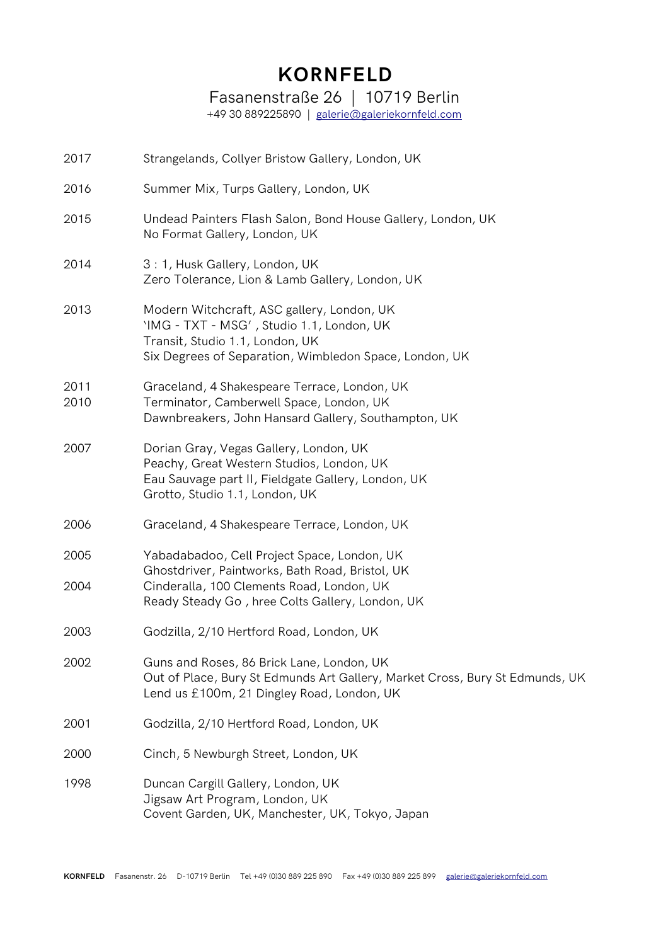# **KORNFELD**

Fasanenstraße 26 | 10719 Berlin

+49 30 889225890 | [galerie@galeriekornfeld.com](mailto:galerie@galeriekornfeld.com)

| 2017         | Strangelands, Collyer Bristow Gallery, London, UK                                                                                                                                              |
|--------------|------------------------------------------------------------------------------------------------------------------------------------------------------------------------------------------------|
| 2016         | Summer Mix, Turps Gallery, London, UK                                                                                                                                                          |
| 2015         | Undead Painters Flash Salon, Bond House Gallery, London, UK<br>No Format Gallery, London, UK                                                                                                   |
| 2014         | 3: 1, Husk Gallery, London, UK<br>Zero Tolerance, Lion & Lamb Gallery, London, UK                                                                                                              |
| 2013         | Modern Witchcraft, ASC gallery, London, UK<br>'IMG - TXT - MSG', Studio 1.1, London, UK<br>Transit, Studio 1.1, London, UK<br>Six Degrees of Separation, Wimbledon Space, London, UK           |
| 2011<br>2010 | Graceland, 4 Shakespeare Terrace, London, UK<br>Terminator, Camberwell Space, London, UK<br>Dawnbreakers, John Hansard Gallery, Southampton, UK                                                |
| 2007         | Dorian Gray, Vegas Gallery, London, UK<br>Peachy, Great Western Studios, London, UK<br>Eau Sauvage part II, Fieldgate Gallery, London, UK<br>Grotto, Studio 1.1, London, UK                    |
| 2006         | Graceland, 4 Shakespeare Terrace, London, UK                                                                                                                                                   |
| 2005<br>2004 | Yabadabadoo, Cell Project Space, London, UK<br>Ghostdriver, Paintworks, Bath Road, Bristol, UK<br>Cinderalla, 100 Clements Road, London, UK<br>Ready Steady Go, hree Colts Gallery, London, UK |
| 2003         | Godzilla, 2/10 Hertford Road, London, UK                                                                                                                                                       |
| 2002         | Guns and Roses, 86 Brick Lane, London, UK<br>Out of Place, Bury St Edmunds Art Gallery, Market Cross, Bury St Edmunds, UK<br>Lend us £100m, 21 Dingley Road, London, UK                        |
| 2001         | Godzilla, 2/10 Hertford Road, London, UK                                                                                                                                                       |
| 2000         | Cinch, 5 Newburgh Street, London, UK                                                                                                                                                           |
| 1998         | Duncan Cargill Gallery, London, UK<br>Jigsaw Art Program, London, UK<br>Covent Garden, UK, Manchester, UK, Tokyo, Japan                                                                        |